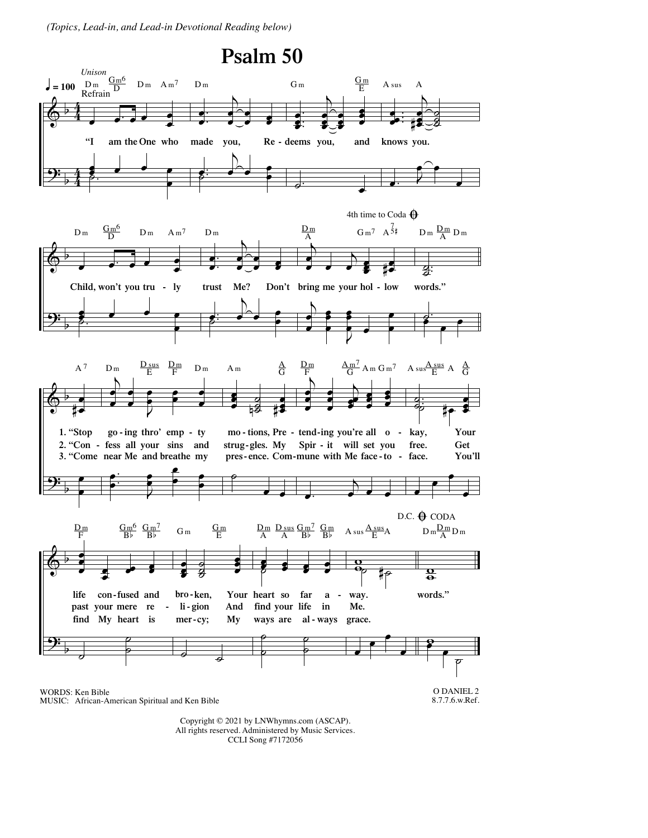*(Topics, Lead-in, and Lead-in Devotional Reading below)*



MUSIC: African-American Spiritual and Ken Bible

8.7.7.6.w.Ref.